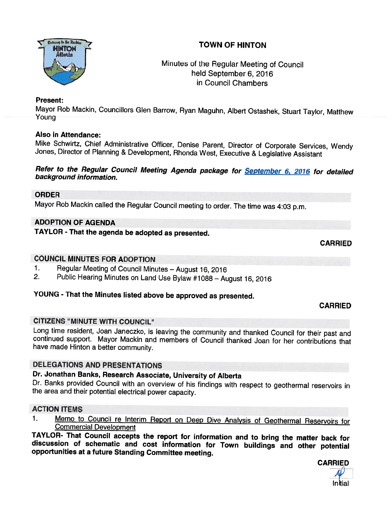



# Minutes of the Regular Meeting of Council held September 6, 2016 in Council Chambers

## Present:

Mayor Rob Mackin, Councillors Glen Barrow, Ryan Maguhn, Albert Ostashek, Stuart Taylor, Matthew Youna

# Also in Attendance:

Mike Schwirtz, Chief Administrative Officer, Denise Parent, Director of Corporate Services, Wendy<br>Jones, Director of Planning & Development, Rhonda West, Executive & Legislative Assistant

Refer to the Regular Council Meeting Agenda package for <u>September 6, 2016</u> for detailed<br>background information.

### ORDER

Mayor Rob Mackin called the Regular Council meeting to order. The time was 4:03 p.m.

# ADOPTION OF AGENDA

TAYLOR - That the agenda be adopted as presented.

CARRIED

# COUNCIL MINUTES FOR ADOPTION

- 1. Regular Meeting of Council Minutes August 16, 2016<br>2. Public Hearing Minutes on Land Lise Bylaw #1088 August
- 2. Public Hearing Minutes on Land Use Bylaw #1088 August 16, <sup>2016</sup>

# YOUNG - That the Minutes listed above be approved as presented.

# CARRIED

# CITIZENS "MINUTE WITH COUNCIL"

Long time resident, Joan Janeczko, is leaving the community and thanked Council for their past and continued support. Mayor Mackin and members of Council thanked Joan for her contributions that have made Hinton a better co

# DELEGATIONS AND PRESENTATIONS

# Dr. Jonathan Banks, Research Associate, University of Alberta

Dr. Banks provided Council with an overview of his findings with respect to geothermal reservoirs in the area and their potential electrical power capacity.

# ACTION ITEMS

1. Memo to Council re Interim Report on Deep Dive Analysis of Geothermal Reservoirs for<br>Commercial Development<br>TAYLOR- That Council accepts the report for information and to bring the matter back for

discussion of schematic and cost information for Town buildings and other potential opportunities at a future Standing Committee meeting.

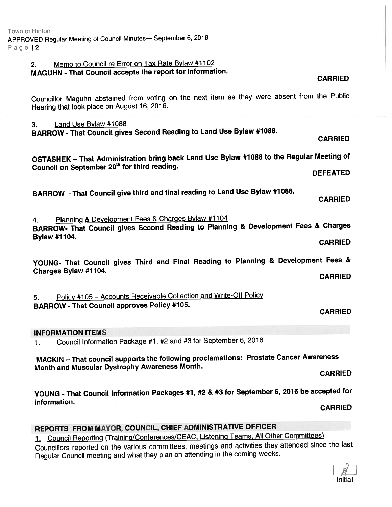# 2. Memo to Council re Error on Tax Rate Bylaw #1102

# MAGUHN - That Council accepts the repor<sup>t</sup> for information.

#### CARRIED

Councillor Maguhn abstained from voting on the next item as they were absent from the Public Hearing that took <sup>p</sup>lace on August 16, 2016.

3. Land Use Bylaw #1088 BARROW - That Council gives Second Reading to Land Use Bylaw #1088.

OSTASHEK — That Administration bring back Land Use Bylaw #1 <sup>088</sup> to the Regular Meeting of Council on September 20<sup>th</sup> for third reading.<br>DEFEATED

BARROW – That Council give third and final reading to Land Use Bylaw #1088.<br>CARRIED

4. Planning & Development Fees & Charges Bylaw #1104 BARROW- That Council <sup>g</sup>ives Second Reading to Planning & Development Fees & Charges Bylaw #7104. CARRIED

YOUNG- That Council <sup>g</sup>ives Third and Final Reading to Planning & Development Fees & Charges Bylaw #1 104. CARRIED

5. Policy #105 — Accounts Receivable Collection and Write-Off Policy BARROW - That Council approves Policy #105.

### CARRIED

### INFORMATION ITEMS

1. Council Information Package #1, #2 and #3 for September 6, <sup>2016</sup>

MACKIN — That council supports the following proclamations: Prostate Cancer Awareness Month and Muscular Dystrophy Awareness Month.

CARRIED

YOUNG - That Council Information Packages #7, #2 & #3 for September 6, <sup>2076</sup> be accepted for information.

CARRIED

# REPORTS FROM MAYOR, COUNCIL, CHIEF ADMINISTRATIVE OFFICER

1. Council Reporting (Training/Conferences/CEAC, Listening Teams, All Other Committees)

Councillors reported on the various committees, meetings and activities they attended since the last Regular Council meeting and what they <sup>p</sup>lan on attending in the coming weeks.

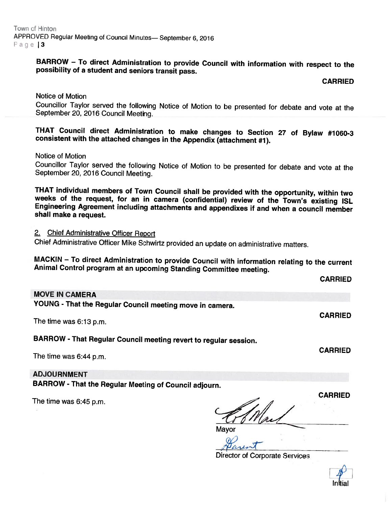# BARROW – To direct Administration to provide Council with information with respect to the possibility of a student and seniors transit pass.

#### CARRIED

CARRIED

Notice of Motion Councillor Taylor served the following Notice of Motion to be presented for debate and vote at the September 20, <sup>2016</sup> Council Meeting.

THAT Council direct Administration to make changes to Section <sup>27</sup> of Bylaw #1060-3 consistent with the attached changes in the Appendix (attachment #1).

Notice of Motion

Councillor Taylor served the following Notice of Motion to be presented for debate and vote at the September 20, <sup>2016</sup> Council Meeting.

THAT individual members of Town Council shall be provided with the opportunity, within two<br>weeks of the request, for an in camera (confidential) review of the Town's existing ISL<br>Engineering Agreement including attachments shall make <sup>a</sup> request.

2. Chief Administrative Officer Report

Chief Administrative Officer Mike Schwirtz provided an update on administrative matters.

MACKIN – To direct Administration to provide Council with information relating to the current<br>Animal Control program at an upcoming Standing Committee meeting.

| <b>MOVE IN CAMERA</b>                                            |                |
|------------------------------------------------------------------|----------------|
| YOUNG - That the Regular Council meeting move in camera.         |                |
| The time was 6:13 p.m.                                           | <b>CARRIED</b> |
| BARROW - That Regular Council meeting revert to regular session. |                |
| The time was 6:44 p.m.                                           | <b>CARRIED</b> |

ADJOURNMENT

BARROW - That the Regular Meeting of Council adjourn.

The time was 6:45 p.m.

CARRIED

**Mayor** 

Director of Corporate Services